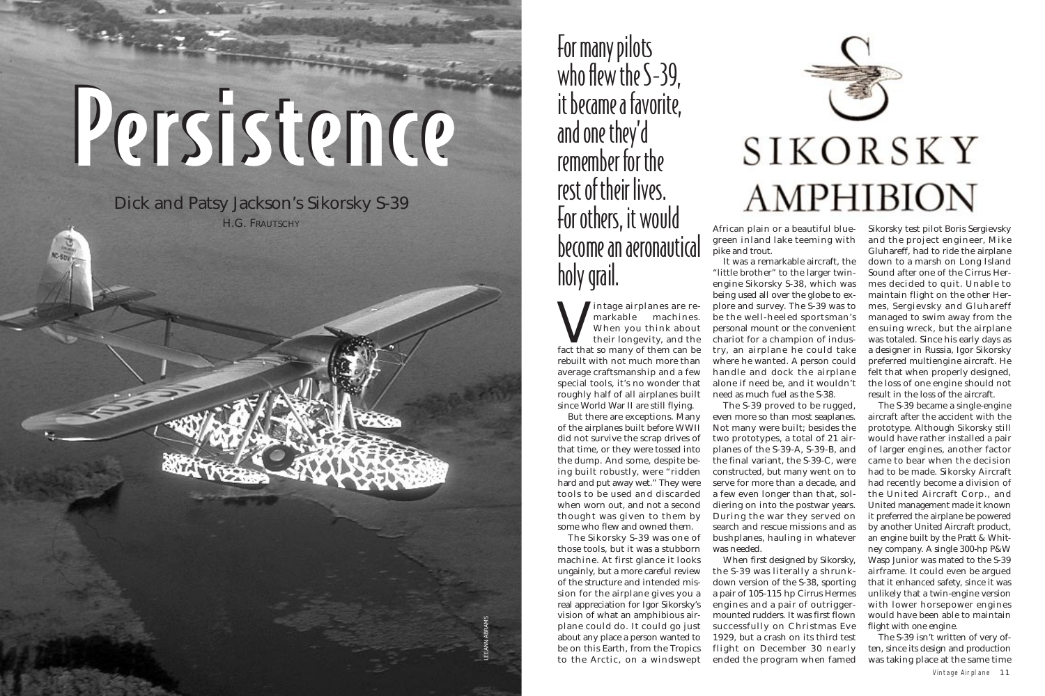Intage airplanes are re-<br>
markable machines.<br>
When you think about<br>
their longevity, and the<br>
fact that so many of them can be markable machines. When you think about their longevity, and the rebuilt with not much more than average craftsmanship and a few special tools, it's no wonder that roughly half of all airplanes built since World War II are still flying.

But there are exceptions. Many of the airplanes built before WWII did not survive the scrap drives of that time, or they were tossed into the dump. And some, despite being built robustly, were "ridden hard and put away wet." They were tools to be used and discarded when worn out, and not a second thought was given to them by some who flew and owned them.

The Sikorsky S-39 was one of those tools, but it was a stubborn machine. At first glance it looks ungainly, but a more careful review of the structure and intended mission for the airplane gives you a real appreciation for Igor Sikorsky's vision of what an amphibious airplane could do. It could go just about any place a person wanted to be on this Earth, from the Tropics to the Arctic, on a windswept

African plain or a beautiful bluegreen inland lake teeming with pike and trout.

It was a remarkable aircraft, the "little brother" to the larger twinengine Sikorsky S-38, which was being used all over the globe to explore and survey. The S-39 was to be the well-heeled sportsman's personal mount or the convenient chariot for a champion of industry, an airplane he could take where he wanted. A person could handle and dock the airplane alone if need be, and it wouldn't need as much fuel as the S-38.

The S-39 proved to be rugged, even more so than most seaplanes. Not many were built; besides the two prototypes, a total of 21 airplanes of the S-39-A, S-39-B, and the final variant, the S-39-C, were constructed, but many went on to serve for more than a decade, and a few even longer than that, soldiering on into the postwar years. During the war they served on search and rescue missions and as bushplanes, hauling in whatever was needed.

Dick and Patsy Jackson's Sikorsky S-39 H.G. FRAUTSCHY

> When first designed by Sikorsky, the S-39 was literally a shrunkdown version of the S-38, sporting a pair of 105-115 hp Cirrus Hermes engines and a pair of outriggermounted rudders. It was first flown successfully on Christmas Eve 1929, but a crash on its third test flight on December 30 nearly ended the program when famed

Sikorsky test pilot Boris Sergievsky and the project engineer, Mike Gluhareff, had to ride the airplane down to a marsh on Long Island Sound after one of the Cirrus Hermes decided to quit. Unable to maintain flight on the other Hermes, Sergievsky and Gluhareff managed to swim away from the ensuing wreck, but the airplane was totaled. Since his early days as a designer in Russia, Igor Sikorsky preferred multiengine aircraft. He felt that when properly designed, the loss of one engine should not result in the loss of the aircraft.

The S-39 became a single-engine aircraft after the accident with the prototype. Although Sikorsky still would have rather installed a pair of larger engines, another factor came to bear when the decision had to be made. Sikorsky Aircraft had recently become a division of the United Aircraft Corp., and United management made it known it preferred the airplane be powered by another United Aircraft product, an engine built by the Pratt & Whitney company. A single 300-hp P&W Wasp Junior was mated to the S-39 airframe. It could even be argued that it enhanced safety, since it was unlikely that a twin-engine version with lower horsepower engines would have been able to maintain flight with one engine.

The S-39 isn't written of very often, since its design and production was taking place at the same time

## Persistence Persistence

For many pilots who flew the S-39. it became a favorite, and one they'd remember for the rest of their lives. For others, it would become an aeronautical holy grail.

LEEANN ABRAMS

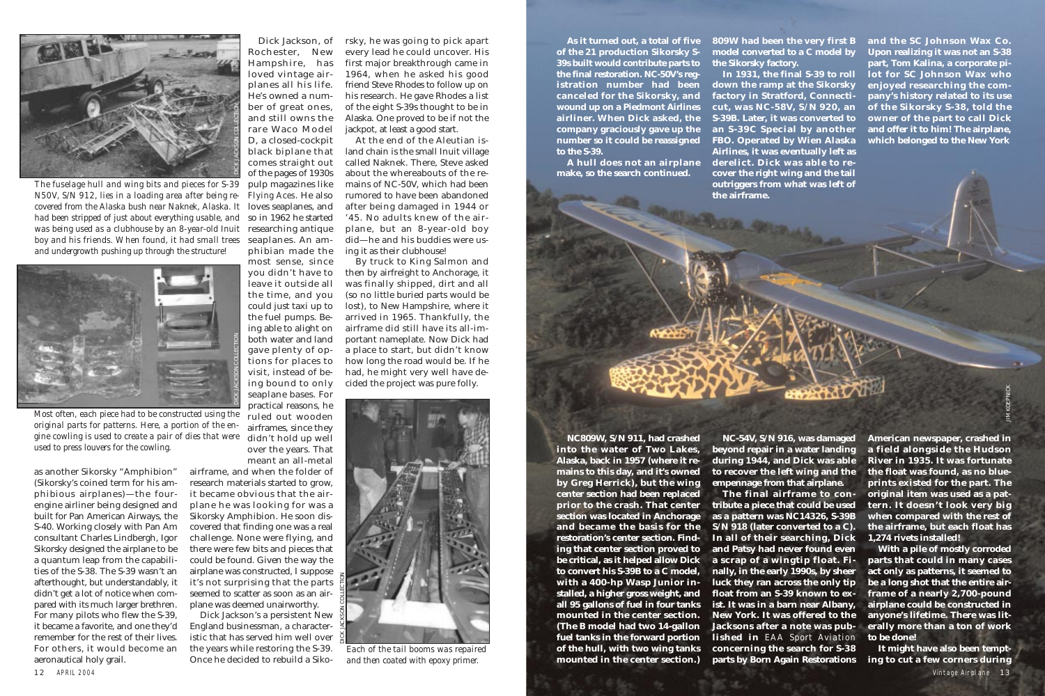as another Sikorsky "Amphibion" (Sikorsky's coined term for his amphibious airplanes)—the fourengine airliner being designed and built for Pan American Airways, the S-40. Working closely with Pan Am consultant Charles Lindbergh, Igor Sikorsky designed the airplane to be a quantum leap from the capabilities of the S-38. The S-39 wasn't an afterthought, but understandably, it didn't get a lot of notice when compared with its much larger brethren. For many pilots who flew the S-39, it became a favorite, and one they'd remember for the rest of their lives. For others, it would become an aeronautical holy grail.

Dick Jackson, of Rochester, New Hampshire, has loved vintage airplanes all his life. He's owned a number of great ones, and still owns the rare Waco Model D, a closed-cockpit black biplane that comes straight out of the pages of 1930s pulp magazines like *Flying Aces*. He also phibian made the most sense, since you didn't have to leave it outside all

the time, and you could just taxi up to the fuel pumps. Being able to alight on both water and land gave plenty of options for places to visit, instead of being bound to only seaplane bases. For practical reasons, he

ruled out wooden airframes, since they didn't hold up well over the years. That meant an all-metal

airframe, and when the folder of research materials started to grow, it became obvious that the airplane he was looking for was a Sikorsky Amphibion. He soon discovered that finding one was a real challenge. None were flying, and there were few bits and pieces that could be found. Given the way the airplane was constructed, I suppose it's not surprising that the parts seemed to scatter as soon as an airplane was deemed unairworthy.

Dick Jackson's a persistent New England businessman, a characteristic that has served him well over the years while restoring the S-39. Once he decided to rebuild a Sikorsky, he was going to pick apart every lead he could uncover. His first major breakthrough came in 1964, when he asked his good friend Steve Rhodes to follow up on his research. He gave Rhodes a list of the eight S-39s thought to be in Alaska. One proved to be if not the jackpot, at least a good start. At the end of the Aleutian is-

land chain is the small Inuit village called Naknek. There, Steve asked about the whereabouts of the remains of NC-50V, which had been rumored to have been abandoned after being damaged in 1944 or '45. No adults knew of the airplane, but an 8-year-old boy did—he and his buddies were using it as their clubhouse!

By truck to King Salmon and then by airfreight to Anchorage, it was finally shipped, dirt and all (so no little buried parts would be lost), to New Hampshire, where it arrived in 1965. Thankfully, the airframe did still have its all-important nameplate. Now Dick had a place to start, but didn't know how long the road would be. If he had, he might very well have decided the project was pure folly.

**As it turned out, a total of five of the 21 production Sikorsky S-39s built would contribute parts to the final restoration. NC-50V's registration number had been canceled for the Sikorsky, and wound up on a Piedmont Airlines airliner. When Dick asked, the company graciously gave up the number so it could be reassigned to the S-39.**

**A hull does not an airplane make, so the search continued.**

**NC809W, S/N 911, had crashed into the water of Two Lakes, Alaska, back in 1957 (where it remains to this day, and it's owned by Greg Herrick), but the wing center section had been replaced prior to the crash. That center section was located in Anchorage and became the basis for the restoration's center section. Finding that center section proved to be critical, as it helped allow Dick to convert his S-39B to a C model, with a 400-hp Wasp Junior installed, a higher gross weight, and all 95 gallons of fuel in four tanks mounted in the center section. (The B model had two 14-gallon fuel tanks in the forward portion of the hull, with two wing tanks mounted in the center section.)**

**809W had been the very first B model converted to a C model by the Sikorsky factory.**

**In 1931, the final S-39 to roll down the ramp at the Sikorsky factory in Stratford, Connecti-S-39B. Later, it was converted to an S-39C Special by another FBO. Operated by Wien Alaska Airlines, it was eventually left as derelict. Dick was able to recover the right wing and the tail outriggers from what was left of the airframe.**

**NC-54V, S/N 916, was damaged American newspaper, crashed in beyond repair in a water landing during 1944, and Dick was able River in 1935. It was fortunate to recover the left wing and the empennage from that airplane.**

**cut, was NC-58V, S/N 920, an of the Sikorsky S-38, told the and the SC Johnson Wax Co. Upon realizing it was not an S-38 part, Tom Kalina, a corporate pilot for SC Johnson Wax who enjoyed researching the company's history related to its use owner of the part to call Dick and offer it to him! The airplane, which belonged to the New York** 

**The final airframe to contribute a piece that could be used as a pattern was NC14326, S-39B S/N 918 (later converted to a C). In all of their searching, Dick and Patsy had never found even a scrap of a wingtip float. Finally, in the early 1990s, by sheer luck they ran across the only tip float from an S-39 known to exist. It was in a barn near Albany, New York. It was offered to the Jacksons after a note was published in** *EAA Sport Aviation* **concerning the search for S-38**

**parts by Born Again Restorations ing to cut a few corners during It might have also been tempt-**

**a field alongside the Hudson the float was found, as no blueprints existed for the part. The original item was used as a pattern. It doesn't look very big when compared with the rest of the airframe, but each float has 1,274 rivets installed!**

**With a pile of mostly corroded parts that could in many cases act only as patterns, it seemed to be a long shot that the entire airframe of a nearly 2,700-pound airplane could be constructed in anyone's lifetime. There was literally more than a ton of work to be done!**



*covered from the Alaska bush near Naknek, Alaska. It* loves seaplanes, and had been stripped of just about everything usable, and so in 1962 he started was being used as a clubhouse by an 8-year-old Inuit researching antique boy and his friends. When found, it had small trees seaplanes. An am-*The fuselage hull and wing bits and pieces for S-39 N50V, S/N 912, lies in a loading area after being reand undergrowth pushing up through the structure!*



*Most often, each piece had to be constructed using the original parts for patterns. Here, a portion of the engine cowling is used to create a pair of dies that were used to press louvers for the cowling.*



*Each of the tail booms was repaired and then coated with epoxy primer.*

JIM KOEPNICK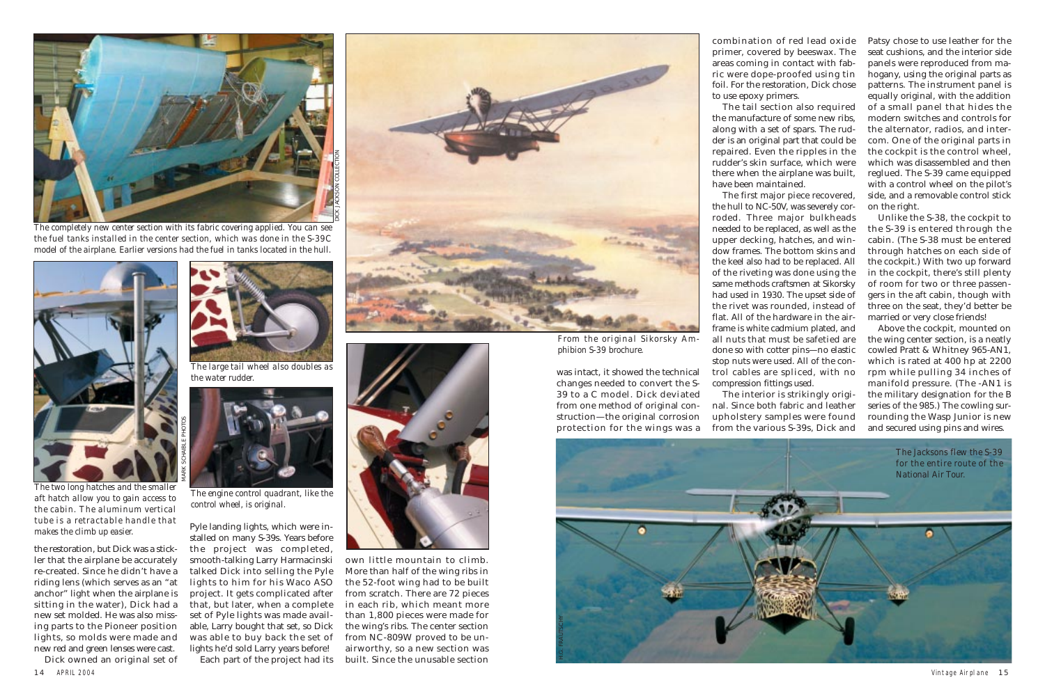was intact, it showed the technical changes needed to convert the S-39 to a C model. Dick deviated from one method of original construction—the original corrosion protection for the wings was a combination of red lead oxide primer, covered by beeswax. The areas coming in contact with fabric were dope-proofed using tin foil. For the restoration, Dick chose to use epoxy primers.

The tail section also required the manufacture of some new ribs, along with a set of spars. The rudder is an original part that could be repaired. Even the ripples in the rudder's skin surface, which were there when the airplane was built, have been maintained.

The first major piece recovered, the hull to NC-50V, was severely corroded. Three major bulkheads needed to be replaced, as well as the upper decking, hatches, and window frames. The bottom skins and the keel also had to be replaced. All of the riveting was done using the same methods craftsmen at Sikorsky had used in 1930. The upset side of the rivet was rounded, instead of flat. All of the hardware in the airframe is white cadmium plated, and all nuts that must be safetied are done so with cotter pins—no elastic stop nuts were used. All of the control cables are spliced, with no compression fittings used.

The interior is strikingly original. Since both fabric and leather upholstery samples were found from the various S-39s, Dick and

Patsy chose to use leather for the seat cushions, and the interior side panels were reproduced from mahogany, using the original parts as patterns. The instrument panel is equally original, with the addition of a small panel that hides the modern switches and controls for the alternator, radios, and intercom. One of the original parts in the cockpit is the control wheel, which was disassembled and then reglued. The S-39 came equipped with a control wheel on the pilot's side, and a removable control stick on the right.

Unlike the S-38, the cockpit to the S-39 is entered through the cabin. (The S-38 must be entered through hatches on each side of the cockpit.) With two up forward in the cockpit, there's still plenty of room for two or three passengers in the aft cabin, though with three on the seat, they'd better be married or very close friends!

Above the cockpit, mounted on the wing center section, is a neatly cowled Pratt & Whitney 965-AN1, which is rated at 400 hp at 2200 rpm while pulling 34 inches of manifold pressure. (The -AN1 is the military designation for the B series of the 985.) The cowling surrounding the Wasp Junior is new and secured using pins and wires.

14 APRIL 2004 Vintage Airplane 15 Dick owned an original set of

the restoration, but Dick was a stickler that the airplane be accurately re-created. Since he didn't have a riding lens (which serves as an "at anchor" light when the airplane is sitting in the water), Dick had a new set molded. He was also missing parts to the Pioneer position lights, so molds were made and new red and green lenses were cast.

Pyle landing lights, which were installed on many S-39s. Years before the project was completed, smooth-talking Larry Harmacinski talked Dick into selling the Pyle lights to him for his Waco ASO project. It gets complicated after that, but later, when a complete set of Pyle lights was made available, Larry bought that set, so Dick was able to buy back the set of lights he'd sold Larry years before!

Each part of the project had its





own little mountain to climb. More than half of the wing ribs in the 52-foot wing had to be built from scratch. There are 72 pieces in each rib, which meant more than 1,800 pieces were made for the wing's ribs. The center section from NC-809W proved to be unairworthy, so a new section was built. Since the unusable section



*The two long hatches and the smaller aft hatch allow you to gain access to the cabin. The aluminum vertical tube is a retractable handle that makes the climb up easier.*



*The completely new center section with its fabric covering applied. You can see the fuel tanks installed in the center section, which was done in the S-39C model of the airplane. Earlier versions had the fuel in tanks located in the hull.*



*The large tail wheel also doubles as the water rudder.*

*From the original Sikorsky Amphibion S-39 brochure.*



*The engine control quadrant, like the control wheel, is original.*